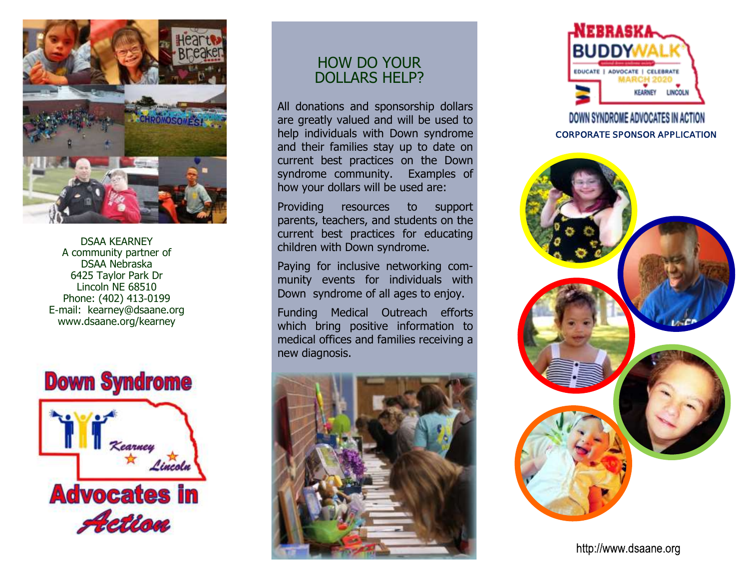

DSAA KEARNEY A community partner of DSAA Nebraska 6425 Taylor Park Dr Lincoln NE 68510 Phone: (402) 413-0199 E-mail: kearney@dsaane.org www.dsaane.org/kearney



## HOW DO YOUR DOLLARS HELP?

All donations and sponsorship dollars are greatly valued and will be used to help individuals with Down syndrome and their families stay up to date on current best practices on the Down syndrome community. Examples of how your dollars will be used are:

Providing resources to support parents, teachers, and students on the current best practices for educating children with Down syndrome.

Paying for inclusive networking community events for individuals with Down syndrome of all ages to enjoy.

Funding Medical Outreach efforts which bring positive information to medical offices and families receiving a new diagnosis.





## DOWN SYNDROME ADVOCATES IN ACTION **CORPORATE SPONSOR APPLICATION**